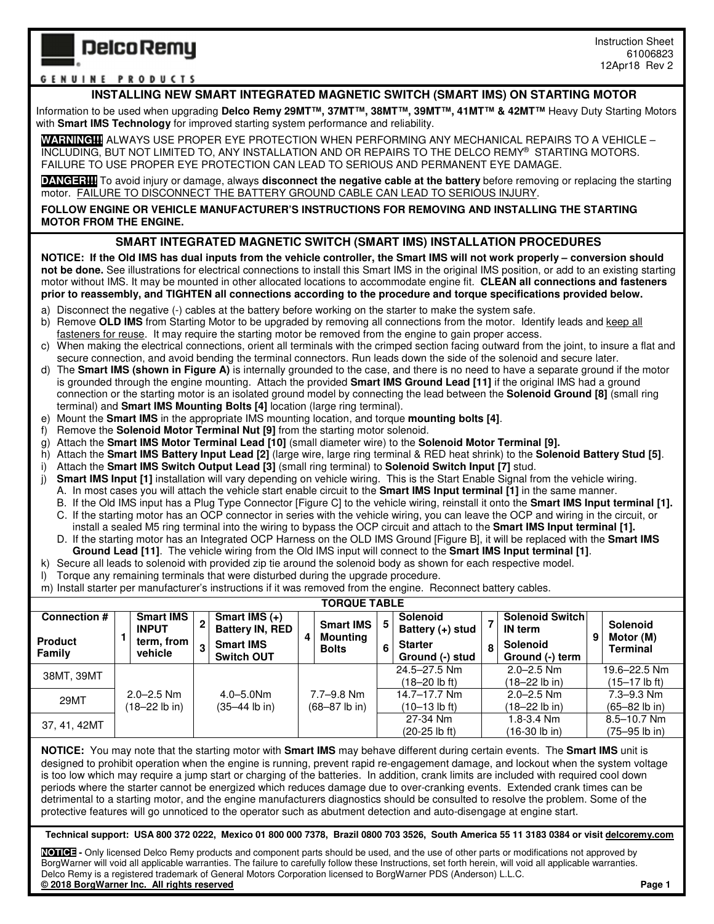## **Delco Remy**

## **GENUINE PRODUCTS**

## **INSTALLING NEW SMART INTEGRATED MAGNETIC SWITCH (SMART IMS) ON STARTING MOTOR**

Information to be used when upgrading **Delco Remy 29MT™, 37MT™, 38MT™, 39MT™, 41MT™ & 42MT™** Heavy Duty Starting Motors with **Smart IMS Technology** for improved starting system performance and reliability.

**WARNING!!!!**ALWAYS USE PROPER EYE PROTECTION WHEN PERFORMING ANY MECHANICAL REPAIRS TO A VEHICLE – INCLUDING, BUT NOT LIMITED TO, ANY INSTALLATION AND OR REPAIRS TO THE DELCO REMY® STARTING MOTORS. FAILURE TO USE PROPER EYE PROTECTION CAN LEAD TO SERIOUS AND PERMANENT EYE DAMAGE.

**DANGER!!!** To avoid injury or damage, always **disconnect the negative cable at the battery** before removing or replacing the starting motor. FAILURE TO DISCONNECT THE BATTERY GROUND CABLE CAN LEAD TO SERIOUS INJURY.

**FOLLOW ENGINE OR VEHICLE MANUFACTURER'S INSTRUCTIONS FOR REMOVING AND INSTALLING THE STARTING MOTOR FROM THE ENGINE.** 

## **SMART INTEGRATED MAGNETIC SWITCH (SMART IMS) INSTALLATION PROCEDURES**

**NOTICE: If the Old IMS has dual inputs from the vehicle controller, the Smart IMS will not work properly – conversion should not be done.** See illustrations for electrical connections to install this Smart IMS in the original IMS position, or add to an existing starting motor without IMS. It may be mounted in other allocated locations to accommodate engine fit. **CLEAN all connections and fasteners prior to reassembly, and TIGHTEN all connections according to the procedure and torque specifications provided below.** 

- a) Disconnect the negative (-) cables at the battery before working on the starter to make the system safe.
- b) Remove OLD IMS from Starting Motor to be upgraded by removing all connections from the motor. Identify leads and keep all fasteners for reuse. It may require the starting motor be removed from the engine to gain proper access.
- c) When making the electrical connections, orient all terminals with the crimped section facing outward from the joint, to insure a flat and secure connection, and avoid bending the terminal connectors. Run leads down the side of the solenoid and secure later.
- The **Smart IMS (shown in Figure A)** is internally grounded to the case, and there is no need to have a separate ground if the motor is grounded through the engine mounting. Attach the provided **Smart IMS Ground Lead [11]** if the original IMS had a ground connection or the starting motor is an isolated ground model by connecting the lead between the **Solenoid Ground [8]** (small ring terminal) and **Smart IMS Mounting Bolts [4]** location (large ring terminal).
- e) Mount the **Smart IMS** in the appropriate IMS mounting location, and torque **mounting bolts [4]**.
- f) Remove the **Solenoid Motor Terminal Nut [9]** from the starting motor solenoid.
- g) Attach the **Smart IMS Motor Terminal Lead [10]** (small diameter wire) to the **Solenoid Motor Terminal [9].**
- h) Attach the **Smart IMS Battery Input Lead [2]** (large wire, large ring terminal & RED heat shrink) to the **Solenoid Battery Stud [5]**.
- i) Attach the **Smart IMS Switch Output Lead [3]** (small ring terminal) to **Solenoid Switch Input [7]** stud.
- j) **Smart IMS Input [1]** installation will vary depending on vehicle wiring. This is the Start Enable Signal from the vehicle wiring.
	- A. In most cases you will attach the vehicle start enable circuit to the **Smart IMS Input terminal [1]** in the same manner.
	- B. If the Old IMS input has a Plug Type Connector [Figure C] to the vehicle wiring, reinstall it onto the **Smart IMS Input terminal [1].**
	- C. If the starting motor has an OCP connector in series with the vehicle wiring, you can leave the OCP and wiring in the circuit, or install a sealed M5 ring terminal into the wiring to bypass the OCP circuit and attach to the **Smart IMS Input terminal [1].** D. If the starting motor has an Integrated OCP Harness on the OLD IMS Ground [Figure B], it will be replaced with the **Smart IMS**
	- **Ground Lead [11]**. The vehicle wiring from the Old IMS input will connect to the **Smart IMS Input terminal [1]**.
- k) Secure all leads to solenoid with provided zip tie around the solenoid body as shown for each respective model.
- l) Torque any remaining terminals that were disturbed during the upgrade procedure.
- m) Install starter per manufacturer's instructions if it was removed from the engine. Reconnect battery cables.

| <b>TORQUE TABLE</b>      |  |                                                           |                     |                                           |   |                                              |   |                                       |   |                                           |   |                                          |
|--------------------------|--|-----------------------------------------------------------|---------------------|-------------------------------------------|---|----------------------------------------------|---|---------------------------------------|---|-------------------------------------------|---|------------------------------------------|
| <b>Connection #</b>      |  | <b>Smart IMS</b><br><b>INPUT</b><br>term, from<br>vehicle | $\overline{2}$<br>3 | Smart IMS $(+)$<br><b>Battery IN, RED</b> | 4 | <b>Smart IMS</b><br>Mounting<br><b>Bolts</b> | 5 | <b>Solenoid</b><br>Battery $(+)$ stud |   | <b>Solenoid Switchl</b><br><b>IN</b> term | 9 | <b>Solenoid</b><br>Motor (M)<br>Terminal |
| <b>Product</b><br>Family |  |                                                           |                     | <b>Smart IMS</b><br><b>Switch OUT</b>     |   |                                              | 6 | <b>Starter</b><br>Ground (-) stud     | 8 | Solenoid<br>Ground (-) term               |   |                                          |
| 38MT, 39MT               |  |                                                           |                     |                                           |   |                                              |   | 24.5-27.5 Nm                          |   | $2.0 - 2.5$ Nm                            |   | 19.6-22.5 Nm                             |
|                          |  |                                                           |                     |                                           |   |                                              |   | (18–20 lb ft).                        |   | (18–22 lb in)                             |   | (15–17 lb ft)                            |
| 29MT                     |  | $2.0 - 2.5$ Nm                                            |                     | $4.0 - 5.0$ Nm                            |   | 7.7–9.8 Nm                                   |   | 14.7–17.7 Nm                          |   | $2.0 - 2.5$ Nm                            |   | $7.3 - 9.3$ Nm                           |
|                          |  | (18–22 lb in)                                             |                     | $(35-44$ lb in)                           |   | $(68 - 87$ lb in)                            |   | (10–13 lb ft)                         |   | (18–22 lb in)                             |   | $(65 - 82$ lb in)                        |
| 37, 41, 42MT             |  |                                                           |                     |                                           |   |                                              |   | 27-34 Nm                              |   | 1.8-3.4 Nm                                |   | $8.5 - 10.7$ Nm                          |
|                          |  |                                                           |                     |                                           |   |                                              |   | (20-25 lb ft)                         |   | (16-30 lb in)                             |   | (75–95 lb in)                            |

**NOTICE:** You may note that the starting motor with **Smart IMS** may behave different during certain events. The **Smart IMS** unit is designed to prohibit operation when the engine is running, prevent rapid re-engagement damage, and lockout when the system voltage is too low which may require a jump start or charging of the batteries. In addition, crank limits are included with required cool down periods where the starter cannot be energized which reduces damage due to over-cranking events. Extended crank times can be detrimental to a starting motor, and the engine manufacturers diagnostics should be consulted to resolve the problem. Some of the protective features will go unnoticed to the operator such as abutment detection and auto-disengage at engine start.

**Technical support: USA 800 372 0222, Mexico 01 800 000 7378, Brazil 0800 703 3526, South America 55 11 3183 0384 or visit delcoremy.com** 

**NOTICE -** Only licensed Delco Remy products and component parts should be used, and the use of other parts or modifications not approved by BorgWarner will void all applicable warranties. The failure to carefully follow these Instructions, set forth herein, will void all applicable warranties. Delco Remy is a registered trademark of General Motors Corporation licensed to BorgWarner PDS (Anderson) L.L.C. **© 2018 BorgWarner Inc. All rights reserved Page 1**